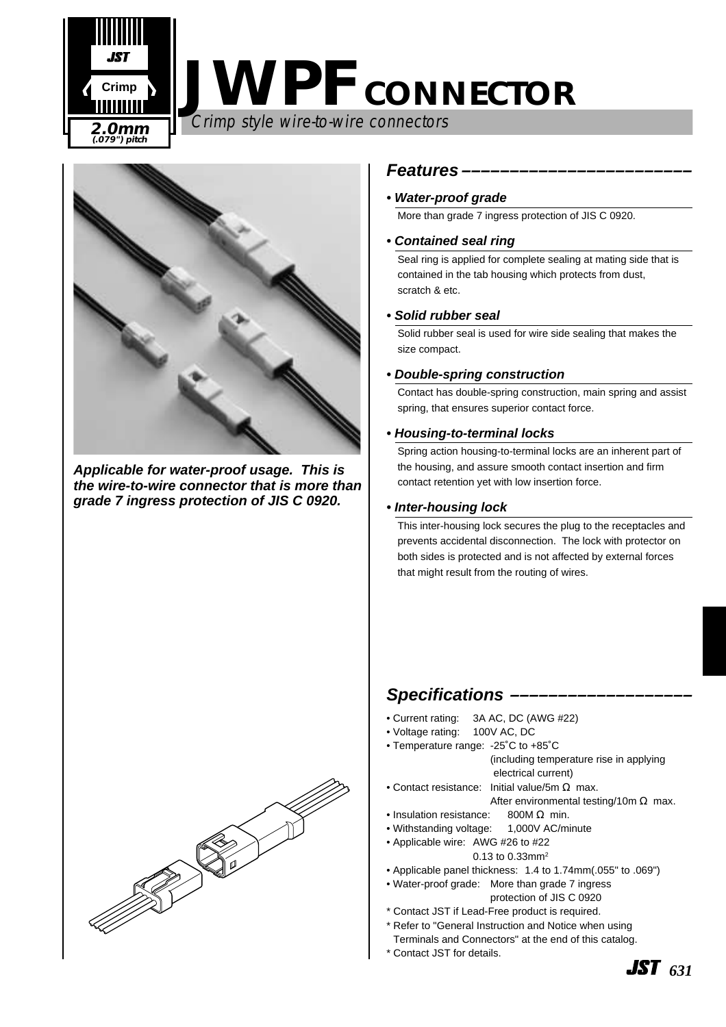

# **JWPF CONNECTOR**

Crimp style wire-to-wire connectors



**Applicable for water-proof usage. This is the wire-to-wire connector that is more than grade 7 ingress protection of JIS C 0920.** 



#### **Features ––––––––––––––––––––––––**

#### **• Water-proof grade**

More than grade 7 ingress protection of JIS C 0920.

#### **• Contained seal ring**

Seal ring is applied for complete sealing at mating side that is contained in the tab housing which protects from dust, scratch & etc.

#### **• Solid rubber seal**

Solid rubber seal is used for wire side sealing that makes the size compact.

#### **• Double-spring construction**

Contact has double-spring construction, main spring and assist spring, that ensures superior contact force.

#### **• Housing-to-terminal locks**

Spring action housing-to-terminal locks are an inherent part of the housing, and assure smooth contact insertion and firm contact retention yet with low insertion force.

#### **• Inter-housing lock**

This inter-housing lock secures the plug to the receptacles and prevents accidental disconnection. The lock with protector on both sides is protected and is not affected by external forces that might result from the routing of wires.

#### **Specifications –––––––––––––––––––**

- Current rating: 3A AC, DC (AWG #22)
- Voltage rating: 100V AC, DC
- Temperature range: -25˚C to +85˚C (including temperature rise in applying
	- electrical current)
- Contact resistance: Initial value/5m  $\Omega$  max.

After environmental testing/10m  $\Omega$  max.

- Insulation resistance: 800M  $\Omega$  min.
- Withstanding voltage: 1,000V AC/minute
- Applicable wire: AWG #26 to #22
	- 0.13 to 0.33mm<sup>2</sup>
- Applicable panel thickness: 1.4 to 1.74mm(.055" to .069")
- Water-proof grade: More than grade 7 ingress protection of JIS C 0920
- \* Contact JST if Lead-Free product is required.
- \* Refer to "General Instruction and Notice when using Terminals and Connectors" at the end of this catalog.
- \* Contact JST for details.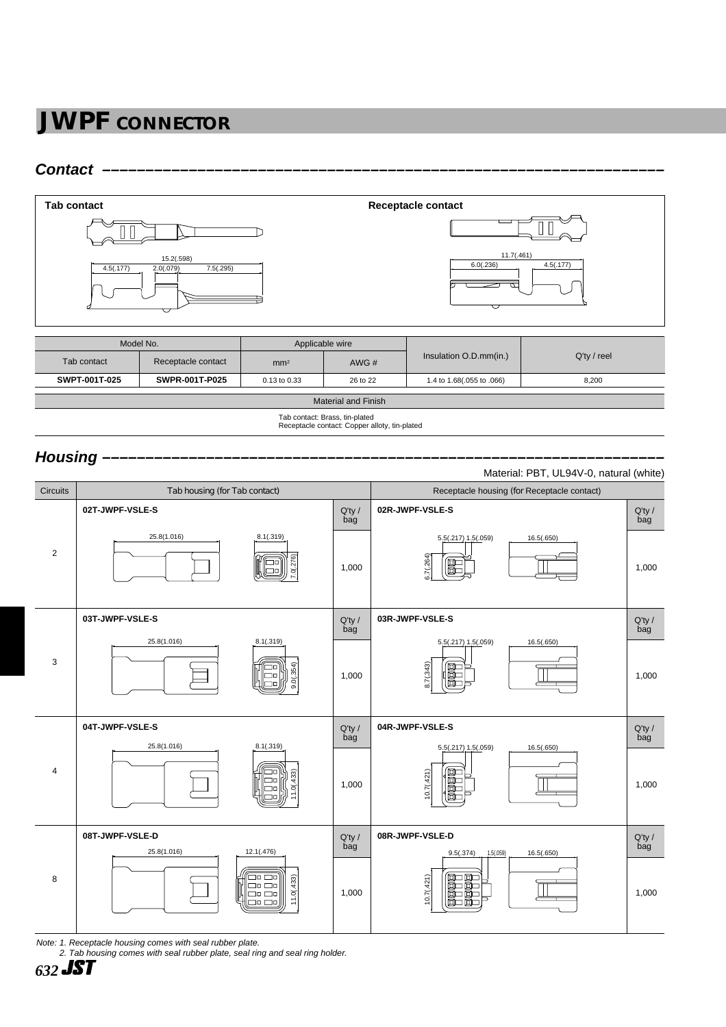### **JWPF CONNECTOR**

#### **Contact –––––––––––––––––––––––––––––––––––––––––––––––––––––––––––––––––**



| Tab contact                | Receptacle contact | mm <sup>2</sup> | AWG $#$  | Insulation O.D.mm(in.)    | $Q'$ ty / reel |  |  |  |
|----------------------------|--------------------|-----------------|----------|---------------------------|----------------|--|--|--|
| SWPT-001T-025              | SWPR-001T-P025     | 0.13 to 0.33    | 26 to 22 | 1.4 to 1.68(.055 to .066) | 8,200          |  |  |  |
|                            |                    |                 |          |                           |                |  |  |  |
| <b>Material and Finish</b> |                    |                 |          |                           |                |  |  |  |

Tab contact: Brass, tin-plated Receptacle contact: Copper alloty, tin-plated

#### Housing -



Note: 1. Receptacle housing comes with seal rubber plate.

2. Tab housing comes with seal rubber plate, seal ring and seal ring holder.